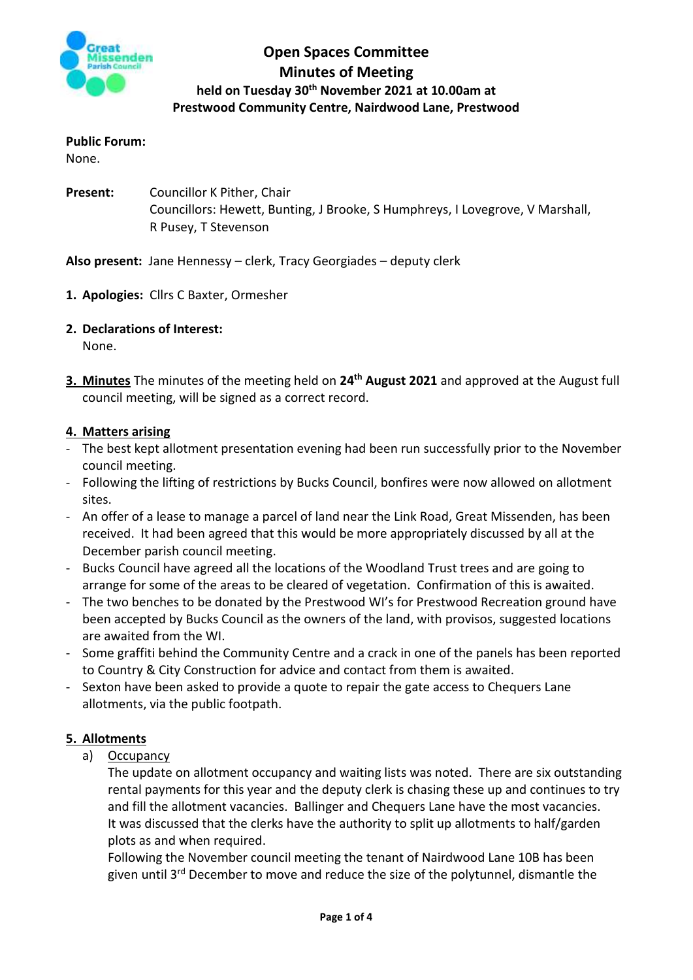

## **Open Spaces Committee Minutes of Meeting held on Tuesday 30th November 2021 at 10.00am at Prestwood Community Centre, Nairdwood Lane, Prestwood**

### **Public Forum:**

None.

**Present:** Councillor K Pither, Chair Councillors: Hewett, Bunting, J Brooke, S Humphreys, I Lovegrove, V Marshall, R Pusey, T Stevenson

### **Also present:** Jane Hennessy – clerk, Tracy Georgiades – deputy clerk

- **1. Apologies:** Cllrs C Baxter, Ormesher
- **2. Declarations of Interest:**

None.

**3. Minutes** The minutes of the meeting held on **24th August 2021** and approved at the August full council meeting, will be signed as a correct record.

### **4. Matters arising**

- The best kept allotment presentation evening had been run successfully prior to the November council meeting.
- Following the lifting of restrictions by Bucks Council, bonfires were now allowed on allotment sites.
- An offer of a lease to manage a parcel of land near the Link Road, Great Missenden, has been received. It had been agreed that this would be more appropriately discussed by all at the December parish council meeting.
- Bucks Council have agreed all the locations of the Woodland Trust trees and are going to arrange for some of the areas to be cleared of vegetation. Confirmation of this is awaited.
- The two benches to be donated by the Prestwood WI's for Prestwood Recreation ground have been accepted by Bucks Council as the owners of the land, with provisos, suggested locations are awaited from the WI.
- Some graffiti behind the Community Centre and a crack in one of the panels has been reported to Country & City Construction for advice and contact from them is awaited.
- Sexton have been asked to provide a quote to repair the gate access to Chequers Lane allotments, via the public footpath.

## **5. Allotments**

a) Occupancy

The update on allotment occupancy and waiting lists was noted. There are six outstanding rental payments for this year and the deputy clerk is chasing these up and continues to try and fill the allotment vacancies. Ballinger and Chequers Lane have the most vacancies. It was discussed that the clerks have the authority to split up allotments to half/garden plots as and when required.

Following the November council meeting the tenant of Nairdwood Lane 10B has been given until 3rd December to move and reduce the size of the polytunnel, dismantle the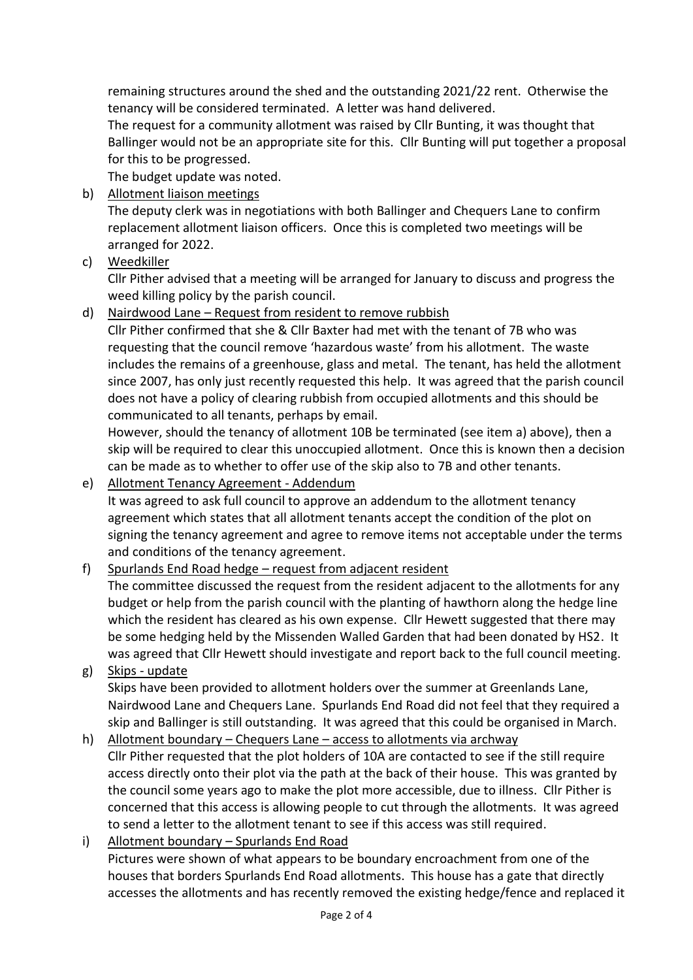remaining structures around the shed and the outstanding 2021/22 rent. Otherwise the tenancy will be considered terminated. A letter was hand delivered.

The request for a community allotment was raised by Cllr Bunting, it was thought that Ballinger would not be an appropriate site for this. Cllr Bunting will put together a proposal for this to be progressed.

The budget update was noted.

b) Allotment liaison meetings

The deputy clerk was in negotiations with both Ballinger and Chequers Lane to confirm replacement allotment liaison officers. Once this is completed two meetings will be arranged for 2022.

c) Weedkiller

Cllr Pither advised that a meeting will be arranged for January to discuss and progress the weed killing policy by the parish council.

d) Nairdwood Lane – Request from resident to remove rubbish

Cllr Pither confirmed that she & Cllr Baxter had met with the tenant of 7B who was requesting that the council remove 'hazardous waste' from his allotment. The waste includes the remains of a greenhouse, glass and metal. The tenant, has held the allotment since 2007, has only just recently requested this help. It was agreed that the parish council does not have a policy of clearing rubbish from occupied allotments and this should be communicated to all tenants, perhaps by email.

However, should the tenancy of allotment 10B be terminated (see item a) above), then a skip will be required to clear this unoccupied allotment. Once this is known then a decision can be made as to whether to offer use of the skip also to 7B and other tenants.

e) Allotment Tenancy Agreement - Addendum

It was agreed to ask full council to approve an addendum to the allotment tenancy agreement which states that all allotment tenants accept the condition of the plot on signing the tenancy agreement and agree to remove items not acceptable under the terms and conditions of the tenancy agreement.

f) Spurlands End Road hedge – request from adjacent resident

The committee discussed the request from the resident adjacent to the allotments for any budget or help from the parish council with the planting of hawthorn along the hedge line which the resident has cleared as his own expense. Cllr Hewett suggested that there may be some hedging held by the Missenden Walled Garden that had been donated by HS2. It was agreed that Cllr Hewett should investigate and report back to the full council meeting.

- g) Skips update Skips have been provided to allotment holders over the summer at Greenlands Lane, Nairdwood Lane and Chequers Lane. Spurlands End Road did not feel that they required a skip and Ballinger is still outstanding. It was agreed that this could be organised in March.
- h) Allotment boundary Chequers Lane access to allotments via archway Cllr Pither requested that the plot holders of 10A are contacted to see if the still require access directly onto their plot via the path at the back of their house. This was granted by the council some years ago to make the plot more accessible, due to illness. Cllr Pither is concerned that this access is allowing people to cut through the allotments. It was agreed to send a letter to the allotment tenant to see if this access was still required.
- i) Allotment boundary Spurlands End Road Pictures were shown of what appears to be boundary encroachment from one of the houses that borders Spurlands End Road allotments. This house has a gate that directly accesses the allotments and has recently removed the existing hedge/fence and replaced it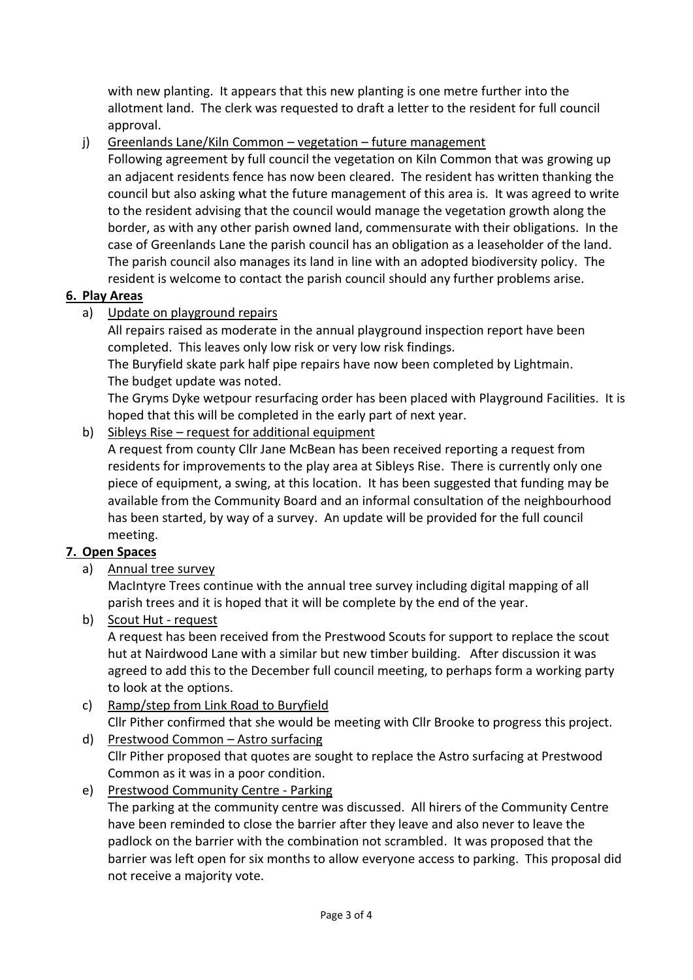with new planting. It appears that this new planting is one metre further into the allotment land. The clerk was requested to draft a letter to the resident for full council approval.

j) Greenlands Lane/Kiln Common – vegetation – future management

Following agreement by full council the vegetation on Kiln Common that was growing up an adjacent residents fence has now been cleared. The resident has written thanking the council but also asking what the future management of this area is. It was agreed to write to the resident advising that the council would manage the vegetation growth along the border, as with any other parish owned land, commensurate with their obligations. In the case of Greenlands Lane the parish council has an obligation as a leaseholder of the land. The parish council also manages its land in line with an adopted biodiversity policy. The resident is welcome to contact the parish council should any further problems arise.

## **6. Play Areas**

a) Update on playground repairs

All repairs raised as moderate in the annual playground inspection report have been completed. This leaves only low risk or very low risk findings.

The Buryfield skate park half pipe repairs have now been completed by Lightmain. The budget update was noted.

The Gryms Dyke wetpour resurfacing order has been placed with Playground Facilities. It is hoped that this will be completed in the early part of next year.

## b) Sibleys Rise – request for additional equipment

A request from county Cllr Jane McBean has been received reporting a request from residents for improvements to the play area at Sibleys Rise. There is currently only one piece of equipment, a swing, at this location. It has been suggested that funding may be available from the Community Board and an informal consultation of the neighbourhood has been started, by way of a survey. An update will be provided for the full council meeting.

# **7. Open Spaces**

a) Annual tree survey

MacIntyre Trees continue with the annual tree survey including digital mapping of all parish trees and it is hoped that it will be complete by the end of the year.

b) Scout Hut - request

A request has been received from the Prestwood Scouts for support to replace the scout hut at Nairdwood Lane with a similar but new timber building. After discussion it was agreed to add this to the December full council meeting, to perhaps form a working party to look at the options.

- c) Ramp/step from Link Road to Buryfield Cllr Pither confirmed that she would be meeting with Cllr Brooke to progress this project.
- d) Prestwood Common Astro surfacing Cllr Pither proposed that quotes are sought to replace the Astro surfacing at Prestwood Common as it was in a poor condition.

# e) Prestwood Community Centre - Parking

The parking at the community centre was discussed. All hirers of the Community Centre have been reminded to close the barrier after they leave and also never to leave the padlock on the barrier with the combination not scrambled. It was proposed that the barrier was left open for six months to allow everyone access to parking. This proposal did not receive a majority vote.